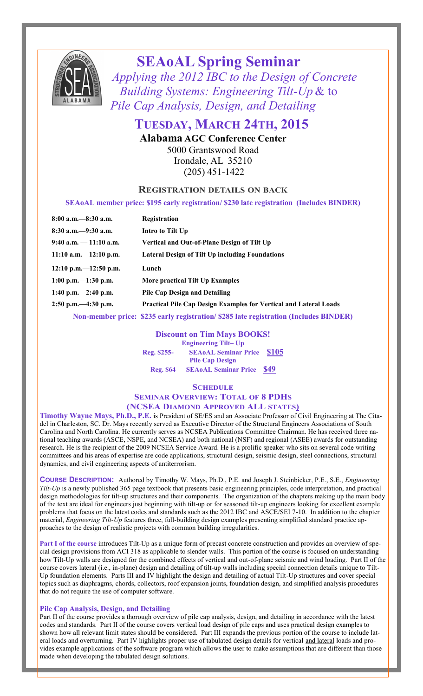

# **SEAoAL Spring Seminar**

 *Applying the 2012 IBC to the Design of Concrete Building Systems: Engineering Tilt-Up* & to *Pile Cap Analysis, Design, and Detailing* 

# **TUESDAY, MARCH 24TH, 2015**

**Alabama AGC Conference Center** 5000 Grantswood Road Irondale, AL 35210 (205) 451-1422

### **REGISTRATION DETAILS ON BACK**

**SEAoAL member price: \$195 early registration/ \$230 late registration (Includes BINDER)**

| $8:00$ a.m. $-8:30$ a.m. | Registration                                                                         |  |  |
|--------------------------|--------------------------------------------------------------------------------------|--|--|
| $8:30$ a.m. $-9:30$ a.m. | Intro to Tilt Up                                                                     |  |  |
| 9:40 a.m. $-11:10$ a.m.  | Vertical and Out-of-Plane Design of Tilt Up                                          |  |  |
| $11:10$ a.m. -12:10 p.m. | Lateral Design of Tilt Up including Foundations                                      |  |  |
| $12:10$ p.m. -12:50 p.m. | Lunch                                                                                |  |  |
| $1:00$ p.m. $-1:30$ p.m. | More practical Tilt Up Examples                                                      |  |  |
| 1:40 p.m. $-2:40$ p.m.   | <b>Pile Cap Design and Detailing</b>                                                 |  |  |
| $2:50$ p.m. $-4:30$ p.m. | <b>Practical Pile Cap Design Examples for Vertical and Lateral Loads</b>             |  |  |
|                          | Non-member price: \$235 early registration/\$285 late registration (Includes BINDER) |  |  |

#### **Discount on Tim Mays BOOKS! Engineering Tilt– Up**

**Reg. \$255- SEAoAL Seminar Price \$105 Pile Cap Design Reg. \$64 SEAoAL Seminar Price \$49**

**SCHEDULE**

### **SEMINAR OVERVIEW: TOTAL OF 8 PDHS (NCSEA DIAMOND APPROVED ALL STATES)**

**Timothy Wayne Mays, Ph.D., P.E.** is President of SE/ES and an Associate Professor of Civil Engineering at The Citadel in Charleston, SC. Dr. Mays recently served as Executive Director of the Structural Engineers Associations of South Carolina and North Carolina. He currently serves as NCSEA Publications Committee Chairman. He has received three national teaching awards (ASCE, NSPE, and NCSEA) and both national (NSF) and regional (ASEE) awards for outstanding research. He is the recipient of the 2009 NCSEA Service Award. He is a prolific speaker who sits on several code writing committees and his areas of expertise are code applications, structural design, seismic design, steel connections, structural dynamics, and civil engineering aspects of antiterrorism.

**COURSE DESCRIPTION:** Authored by Timothy W. Mays, Ph.D., P.E. and Joseph J. Steinbicker, P.E., S.E., *Engineering Tilt-Up* is a newly published 365 page textbook that presents basic engineering principles, code interpretation, and practical design methodologies for tilt-up structures and their components. The organization of the chapters making up the main body of the text are ideal for engineers just beginning with tilt-up or for seasoned tilt-up engineers looking for excellent example problems that focus on the latest codes and standards such as the 2012 IBC and ASCE/SEI 7-10. In addition to the chapter material, *Engineering Tilt-Up* features three, full-building design examples presenting simplified standard practice approaches to the design of realistic projects with common building irregularities.

**Part I of the course** introduces Tilt-Up as a unique form of precast concrete construction and provides an overview of special design provisions from ACI 318 as applicable to slender walls. This portion of the course is focused on understanding how Tilt-Up walls are designed for the combined effects of vertical and out-of-plane seismic and wind loading. Part II of the course covers lateral (i.e., in-plane) design and detailing of tilt-up walls including special connection details unique to Tilt-Up foundation elements. Parts III and IV highlight the design and detailing of actual Tilt-Up structures and cover special topics such as diaphragms, chords, collectors, roof expansion joints, foundation design, and simplified analysis procedures that do not require the use of computer software.

#### **Pile Cap Analysis, Design, and Detailing**

Part II of the course provides a thorough overview of pile cap analysis, design, and detailing in accordance with the latest codes and standards. Part II of the course covers vertical load design of pile caps and uses practical design examples to shown how all relevant limit states should be considered. Part III expands the previous portion of the course to include lateral loads and overturning. Part IV highlights proper use of tabulated design details for vertical and lateral loads and provides example applications of the software program which allows the user to make assumptions that are different than those made when developing the tabulated design solutions.